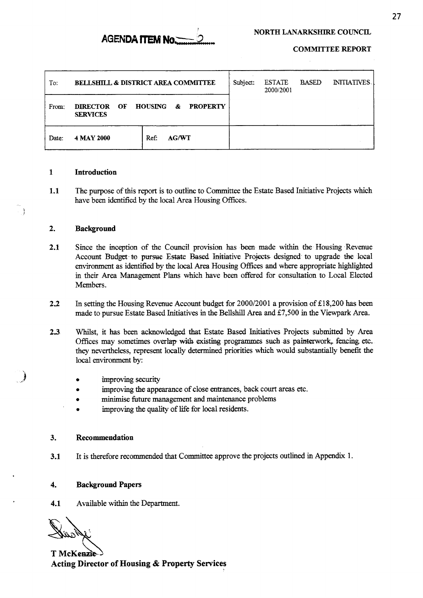

**COMMITTEE REPORT** 

| To:   | <b>BELLSHILL &amp; DISTRICT AREA COMMITTEE</b>                                     |                      | Subject: | <b>ESTATE</b><br>2000/2001 | <b>BASED</b> | <b>INITIATIVES</b> |
|-------|------------------------------------------------------------------------------------|----------------------|----------|----------------------------|--------------|--------------------|
| From: | <b>HOUSING</b><br><b>PROPERTY</b><br>OF<br><b>DIRECTOR</b><br>&<br><b>SERVICES</b> |                      |          |                            |              |                    |
| Date: | 4 MAY 2000                                                                         | Ref:<br><b>AG/WT</b> |          |                            |              |                    |

### **1 Introduction**

**1.1**  The purpose of this report is to outline to Committee the Estate Based Initiative Projects which have been identified by the local Area Housing Offices.

### **2. Background**

1 *i* 

- **2.1**  Since the inception of the Council provision has **been** made within **the** Housing Revenue Account Budget to pursue Estate Based Initiative Projects designed to upgrade the local environment as identified by the local *Area* Housing Offices and where appropriate highlighted in their *Area* Management Plans which have been offered for consultation to Local Elected Members.
- **22**  In setting the Housing Revenue Account budget for 2000/2001 a provision of **&18,200** has been made to pursue Estate Based Initiatives **in** the Bellshill *Area* and **&7,500** in the Viewpark Area.
- **2.3**  Whilst, it has been acknowledged **that** Estate Based Initiatives Projects submitted by *Area*  Offices may sometimes overlap with existing programmes such as painterwork, fencing etc. they nevertheless, represent locally determined priorities which would substantially benefit the local environment by:
	- **e** improving security
	- **e**  improving the appearance of close entrances, back court areas etc.
	- **e**  minimise future management and maintenance problems
	- *0*  improving the quality of life for local residents.

### **3. Recommendation**

**3.1**  It is therefore recommended that Committee approve the projects outlined in Appendix 1.

#### **4. Background Papers**

### **4.1**  Available within the Department.

T McKenzie-**Acting Director of Housing** & **Property Services**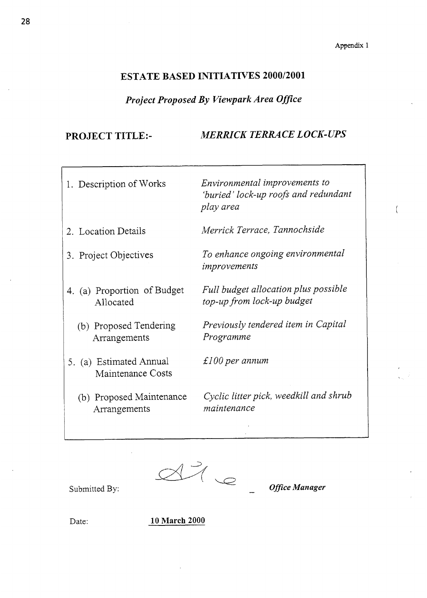$\overline{ }$ 

### **ESTATE BASED INITIATIVES 2000/2001**

### *Project Proposed By Viewpark Area Office*

**PROJECT TITLE:-** *MERRICK TERRACE LOCK-UPS* 

| 1. Description of Works                      | Environmental improvements to<br>'buried' lock-up roofs and redundant<br>play area |
|----------------------------------------------|------------------------------------------------------------------------------------|
| 2. Location Details                          | Merrick Terrace, Tannochside                                                       |
| 3. Project Objectives                        | To enhance ongoing environmental<br>improvements                                   |
| 4. (a) Proportion of Budget<br>Allocated     | Full budget allocation plus possible<br>top-up from lock-up budget                 |
| (b) Proposed Tendering<br>Arrangements       | Previously tendered item in Capital<br>Programme                                   |
| 5. (a) Estimated Annual<br>Maintenance Costs | $\pounds100$ per annum                                                             |
| (b) Proposed Maintenance<br>Arrangements     | Cyclic litter pick, weedkill and shrub<br>maintenance                              |
|                                              |                                                                                    |

 $H_{\infty}$ 

**Office Manager** 

Submitted By:

Date: **10 March 2000**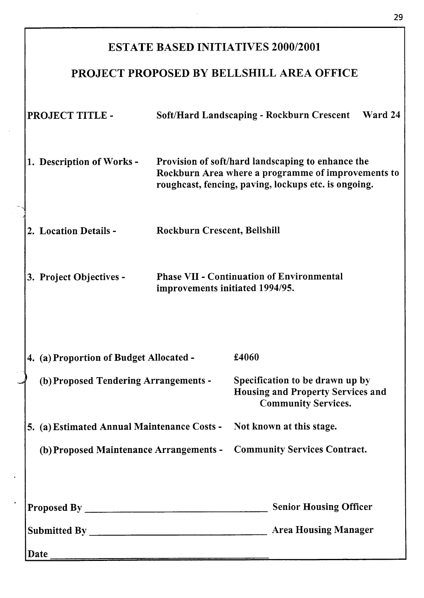# ESTATE BASED INITIATIVES **2000/2001**  PROJECT PROPOSED BY BELLSHILL AREA OFFICE PROJECT TITLE - **1.** Description of Works - **2.** Location Details - *3.* Project Objectives - Soft/Hard Landscaping - Rockburn Crescent Ward **24**  Provision of soft/hard landscaping to enhance the Rockburn Area where a programme of improvements to roughcast, fencing, paving, lockups etc. is ongoing. Rockburn Crescent, Bellshill Phase **VI1** - Continuation of Environmental improvements initiated **1994/95. 1..** (a) Proportion of Budget Allocated - **\$4060**  (b) Proposed Tendering Arrangements - Specification to be drawn up by Housing and Property Services and Community Services. 5. **(a)** Estimated Annual Maintenance Costs - Not known at this stage. (b) Proposed Maintenance Arrangements - Community Services Contract. Proposed By Senior Housing Officer Submitted By Area Housing Manager Date

29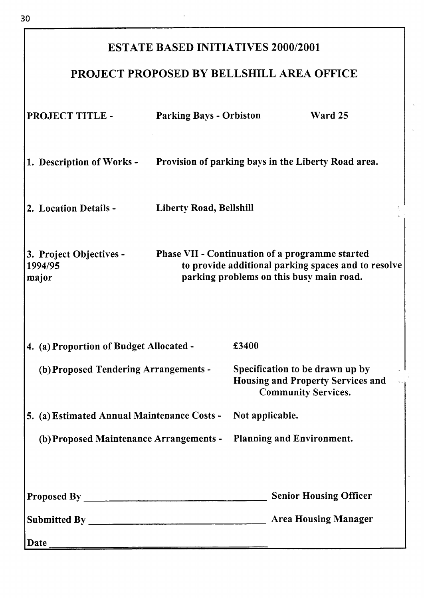# **ESTATE BASED INITIATIVES 2000/2001**

# **PROJECT PROPOSED BY BELLSHILL AREA OFFICE**

| PROJECT TITLE -                                                                                                                                                                                   | <b>Parking Bays - Orbiston</b>                      |                                                                                                           | Ward 25                       |  |
|---------------------------------------------------------------------------------------------------------------------------------------------------------------------------------------------------|-----------------------------------------------------|-----------------------------------------------------------------------------------------------------------|-------------------------------|--|
| 1. Description of Works -                                                                                                                                                                         | Provision of parking bays in the Liberty Road area. |                                                                                                           |                               |  |
| 2. Location Details -                                                                                                                                                                             | <b>Liberty Road, Bellshill</b>                      |                                                                                                           |                               |  |
| Phase VII - Continuation of a programme started<br>3. Project Objectives -<br>to provide additional parking spaces and to resolve<br>1994/95<br>parking problems on this busy main road.<br>major |                                                     |                                                                                                           |                               |  |
| 4. (a) Proportion of Budget Allocated -                                                                                                                                                           |                                                     | £3400                                                                                                     |                               |  |
| (b) Proposed Tendering Arrangements -                                                                                                                                                             |                                                     | Specification to be drawn up by<br><b>Housing and Property Services and</b><br><b>Community Services.</b> |                               |  |
| 5. (a) Estimated Annual Maintenance Costs - Not applicable.                                                                                                                                       |                                                     |                                                                                                           |                               |  |
| (b) Proposed Maintenance Arrangements - Planning and Environment.                                                                                                                                 |                                                     |                                                                                                           |                               |  |
|                                                                                                                                                                                                   |                                                     |                                                                                                           | <b>Senior Housing Officer</b> |  |
|                                                                                                                                                                                                   |                                                     |                                                                                                           |                               |  |
| Date                                                                                                                                                                                              |                                                     |                                                                                                           |                               |  |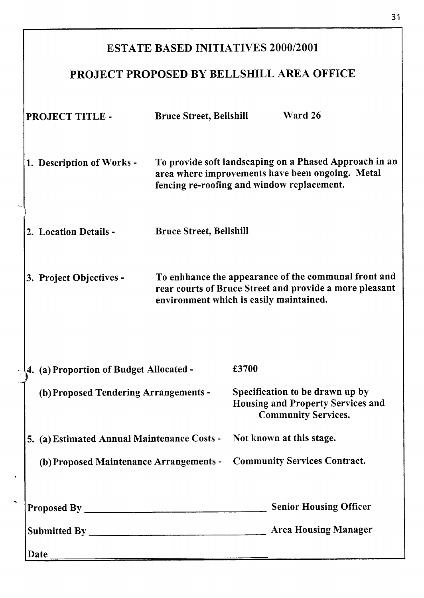| <b>ESTATE BASED INITIATIVES 2000/2001</b>        |                                                                                                                                                                                            |                                                                                                           |                               |  |  |
|--------------------------------------------------|--------------------------------------------------------------------------------------------------------------------------------------------------------------------------------------------|-----------------------------------------------------------------------------------------------------------|-------------------------------|--|--|
| PROJECT PROPOSED BY BELLSHILL AREA OFFICE        |                                                                                                                                                                                            |                                                                                                           |                               |  |  |
| PROJECT TITLE -                                  | <b>Bruce Street, Bellshill</b>                                                                                                                                                             |                                                                                                           | Ward 26                       |  |  |
| 1. Description of Works -                        | To provide soft landscaping on a Phased Approach in an<br>area where improvements have been ongoing. Metal<br>fencing re-roofing and window replacement.<br><b>Bruce Street, Bellshill</b> |                                                                                                           |                               |  |  |
| 2. Location Details -                            |                                                                                                                                                                                            |                                                                                                           |                               |  |  |
| 3. Project Objectives -                          | To enhhance the appearance of the communal front and<br>rear courts of Bruce Street and provide a more pleasant<br>environment which is easily maintained.                                 |                                                                                                           |                               |  |  |
| 4. (a) Proportion of Budget Allocated -<br>£3700 |                                                                                                                                                                                            |                                                                                                           |                               |  |  |
| (b) Proposed Tendering Arrangements -            |                                                                                                                                                                                            | Specification to be drawn up by<br><b>Housing and Property Services and</b><br><b>Community Services.</b> |                               |  |  |
| 5. (a) Estimated Annual Maintenance Costs -      |                                                                                                                                                                                            | Not known at this stage.                                                                                  |                               |  |  |
| (b) Proposed Maintenance Arrangements -          |                                                                                                                                                                                            | <b>Community Services Contract.</b>                                                                       |                               |  |  |
|                                                  |                                                                                                                                                                                            |                                                                                                           | <b>Senior Housing Officer</b> |  |  |
|                                                  |                                                                                                                                                                                            |                                                                                                           |                               |  |  |
| Date $_{-}$                                      |                                                                                                                                                                                            |                                                                                                           |                               |  |  |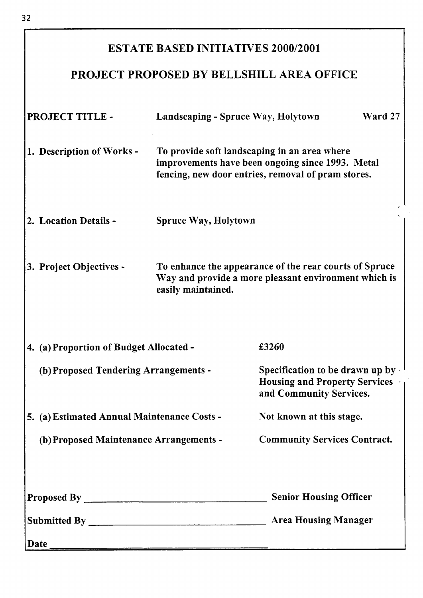## ESTATE BASED INITIATIVES **2000/2001**

# PROJECT PROPOSED BY BELLSHILL AREA OFFICE

| PROJECT TITLE -                             | Landscaping - Spruce Way, Holytown<br>Ward 27                                                                                                          |                                                                                                            |  |  |  |
|---------------------------------------------|--------------------------------------------------------------------------------------------------------------------------------------------------------|------------------------------------------------------------------------------------------------------------|--|--|--|
| 1. Description of Works -                   | To provide soft landscaping in an area where<br>improvements have been ongoing since 1993. Metal<br>fencing, new door entries, removal of pram stores. |                                                                                                            |  |  |  |
| 2. Location Details -                       | <b>Spruce Way, Holytown</b>                                                                                                                            |                                                                                                            |  |  |  |
| 3. Project Objectives -                     | To enhance the appearance of the rear courts of Spruce<br>Way and provide a more pleasant environment which is<br>easily maintained.                   |                                                                                                            |  |  |  |
| 4. (a) Proportion of Budget Allocated -     |                                                                                                                                                        | £3260                                                                                                      |  |  |  |
| (b) Proposed Tendering Arrangements -       |                                                                                                                                                        | Specification to be drawn up by $\cdot$<br><b>Housing and Property Services</b><br>and Community Services. |  |  |  |
| 5. (a) Estimated Annual Maintenance Costs - |                                                                                                                                                        | Not known at this stage.                                                                                   |  |  |  |
| (b) Proposed Maintenance Arrangements -     |                                                                                                                                                        | <b>Community Services Contract.</b>                                                                        |  |  |  |
|                                             |                                                                                                                                                        | <b>Senior Housing Officer</b>                                                                              |  |  |  |
|                                             |                                                                                                                                                        | <b>Area Housing Manager</b>                                                                                |  |  |  |
|                                             |                                                                                                                                                        |                                                                                                            |  |  |  |